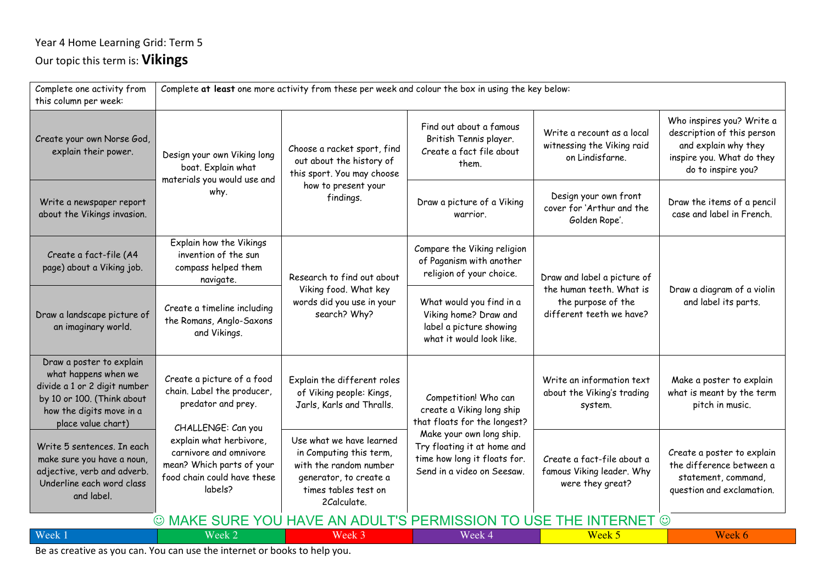## Year 4 Home Learning Grid: Term 5 Our topic this term is: **Vikings**

| Complete one activity from<br>this column per week:                                                                                                              | Complete at least one more activity from these per week and colour the box in using the key below:                                                                                                       |                                                                                                                                                |                                                                                                                       |                                                                             |                                                                                                                                    |
|------------------------------------------------------------------------------------------------------------------------------------------------------------------|----------------------------------------------------------------------------------------------------------------------------------------------------------------------------------------------------------|------------------------------------------------------------------------------------------------------------------------------------------------|-----------------------------------------------------------------------------------------------------------------------|-----------------------------------------------------------------------------|------------------------------------------------------------------------------------------------------------------------------------|
| Create your own Norse God,<br>explain their power.                                                                                                               | Design your own Viking long<br>boat. Explain what<br>materials you would use and<br>why.                                                                                                                 | Choose a racket sport, find<br>out about the history of<br>this sport. You may choose<br>how to present your<br>findings.                      | Find out about a famous<br>British Tennis player.<br>Create a fact file about<br>them.                                | Write a recount as a local<br>witnessing the Viking raid<br>on Lindisfarne. | Who inspires you? Write a<br>description of this person<br>and explain why they<br>inspire you. What do they<br>do to inspire you? |
| Write a newspaper report<br>about the Vikings invasion.                                                                                                          |                                                                                                                                                                                                          |                                                                                                                                                | Draw a picture of a Viking<br>warrior.                                                                                | Design your own front<br>cover for 'Arthur and the<br>Golden Rope'.         | Draw the items of a pencil<br>case and label in French.                                                                            |
| Create a fact-file (A4<br>page) about a Viking job.                                                                                                              | Explain how the Vikings<br>invention of the sun<br>compass helped them<br>navigate.                                                                                                                      | Research to find out about                                                                                                                     | Compare the Viking religion<br>of Paganism with another<br>religion of your choice.                                   | Draw and label a picture of                                                 |                                                                                                                                    |
| Draw a landscape picture of<br>an imaginary world.                                                                                                               | Create a timeline including<br>the Romans, Anglo-Saxons<br>and Vikings.                                                                                                                                  | Viking food. What key<br>words did you use in your<br>search? Why?                                                                             | What would you find in a<br>Viking home? Draw and<br>label a picture showing<br>what it would look like.              | the human teeth. What is<br>the purpose of the<br>different teeth we have?  | Draw a diagram of a violin<br>and label its parts.                                                                                 |
| Draw a poster to explain<br>what happens when we<br>divide a 1 or 2 digit number<br>by 10 or 100. (Think about<br>how the digits move in a<br>place value chart) | Create a picture of a food<br>chain. Label the producer,<br>predator and prey.<br>CHALLENGE: Can you                                                                                                     | Explain the different roles<br>of Viking people: Kings,<br>Jarls, Karls and Thralls.                                                           | Competition! Who can<br>create a Viking long ship<br>that floats for the longest?                                     | Write an information text<br>about the Viking's trading<br>system.          | Make a poster to explain<br>what is meant by the term<br>pitch in music.                                                           |
| Write 5 sentences. In each<br>make sure you have a noun,<br>adjective, verb and adverb.<br>Underline each word class<br>and label.                               | explain what herbivore,<br>carnivore and omnivore<br>mean? Which parts of your<br>food chain could have these<br>labels?<br>$\odot$ MAKE SURE YOU HAVE AN ADULT'S PERMISSION TO USE THE INTERNET $\odot$ | Use what we have learned<br>in Computing this term,<br>with the random number<br>generator, to create a<br>times tables test on<br>2Calculate. | Make your own long ship.<br>Try floating it at home and<br>time how long it floats for.<br>Send in a video on Seesaw. | Create a fact-file about a<br>famous Viking leader. Why<br>were they great? | Create a poster to explain<br>the difference between a<br>statement, command,<br>question and exclamation.                         |

week 1 Week 2 Week 2 Week 3 Week 3 Week 4 Week 4 Week 5 Week 6 Week 6 Week 6 Week 6 Week 6 Week 6 Week 6 Week

Be as creative as you can. You can use the internet or books to help you.